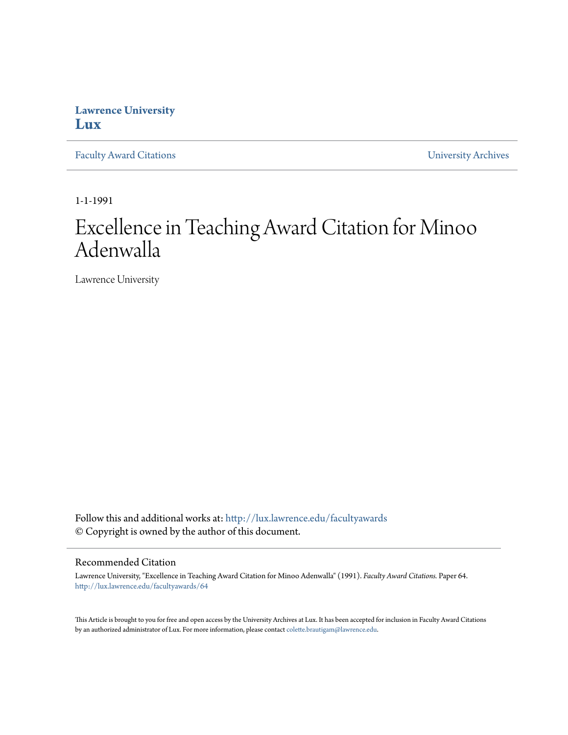## **Lawrence University [Lux](http://lux.lawrence.edu?utm_source=lux.lawrence.edu%2Ffacultyawards%2F64&utm_medium=PDF&utm_campaign=PDFCoverPages)**

[Faculty Award Citations](http://lux.lawrence.edu/facultyawards?utm_source=lux.lawrence.edu%2Ffacultyawards%2F64&utm_medium=PDF&utm_campaign=PDFCoverPages) **Example 2018** [University Archives](http://lux.lawrence.edu/archives?utm_source=lux.lawrence.edu%2Ffacultyawards%2F64&utm_medium=PDF&utm_campaign=PDFCoverPages)

1-1-1991

# Excellence in Teaching Award Citation for Minoo Adenwalla

Lawrence University

Follow this and additional works at: [http://lux.lawrence.edu/facultyawards](http://lux.lawrence.edu/facultyawards?utm_source=lux.lawrence.edu%2Ffacultyawards%2F64&utm_medium=PDF&utm_campaign=PDFCoverPages) © Copyright is owned by the author of this document.

#### Recommended Citation

Lawrence University, "Excellence in Teaching Award Citation for Minoo Adenwalla" (1991). *Faculty Award Citations.* Paper 64. [http://lux.lawrence.edu/facultyawards/64](http://lux.lawrence.edu/facultyawards/64?utm_source=lux.lawrence.edu%2Ffacultyawards%2F64&utm_medium=PDF&utm_campaign=PDFCoverPages)

This Article is brought to you for free and open access by the University Archives at Lux. It has been accepted for inclusion in Faculty Award Citations by an authorized administrator of Lux. For more information, please contact [colette.brautigam@lawrence.edu](mailto:colette.brautigam@lawrence.edu).